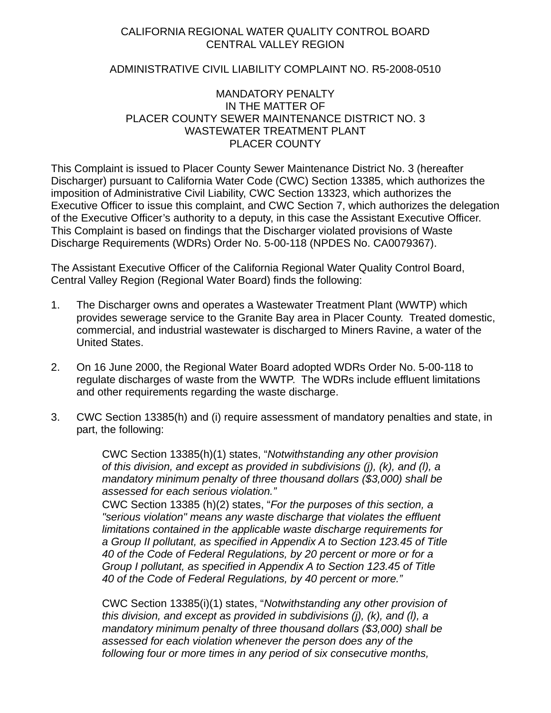# CALIFORNIA REGIONAL WATER QUALITY CONTROL BOARD CENTRAL VALLEY REGION

## <span id="page-0-3"></span>ADMINISTRATIVE CIVIL LIABILITY COMPLAINT NO. R5-2008-0510

## MANDATORY PENALTY IN THE MATTER OF PLACER COUNTY SEWER MAINTENANCE DISTRICT NO. 3 WASTEWATER TREATMENT PLANT PLACER COUNTY

<span id="page-0-1"></span><span id="page-0-0"></span>This Complaint is issued to [Placer County Sewer Maintenance District No. 3](#page-0-0) (hereafter Discharger) pursuant to California Water Code (CWC) Section 13385, which authorizes the imposition of Administrative Civil Liability, CWC Section 13323, which authorizes the Executive Officer to issue this complaint, and CWC Section 7, which authorizes the delegation of the Executive Officer's authority to a deputy, in this case the Assistant Executive Officer. This Complaint is based on findings that the Discharger violated provisions of Waste Discharge Requirements (WDRs) Order No. 5-00-118 (NPDES No. CA0079367).

<span id="page-0-2"></span>The Assistant Executive Officer of the California Regional Water Quality Control Board, Central Valley Region (Regional Water Board) finds the following:

- 1. The Discharger owns and operates a [Wastewater Treatment Plant](#page-0-1) (WWTP) which provides sewerage service to the Granite Bay area in Placer County. Treated domestic, commercial, and industrial wastewater is discharged to Miners Ravine, a water of the United States.
- 2. On 16 June 2000, the Regional Water Board adopted WDRs Order No. [5-00-118](#page-0-2) to regulate discharges of waste from the WWTP. The WDRs include effluent limitations and other requirements regarding the waste discharge.
- 3. CWC Section 13385(h) and (i) require assessment of mandatory penalties and state, in part, the following:

CWC Section 13385(h)(1) states, "*Notwithstanding any other provision of this division, and except as provided in subdivisions (j), (k), and (l), a mandatory minimum penalty of three thousand dollars (\$3,000) shall be assessed for each serious violation."* 

CWC Section 13385 (h)(2) states, "*For the purposes of this section, a "serious violation" means any waste discharge that violates the effluent limitations contained in the applicable waste discharge requirements for a Group II pollutant, as specified in Appendix A to Section 123.45 of Title 40 of the Code of Federal Regulations, by 20 percent or more or for a Group I pollutant, as specified in Appendix A to Section 123.45 of Title 40 of the Code of Federal Regulations, by 40 percent or more."*

CWC Section 13385(i)(1) states, "*Notwithstanding any other provision of this division, and except as provided in subdivisions (j), (k), and (l), a mandatory minimum penalty of three thousand dollars (\$3,000) shall be assessed for each violation whenever the person does any of the following four or more times in any period of six consecutive months,*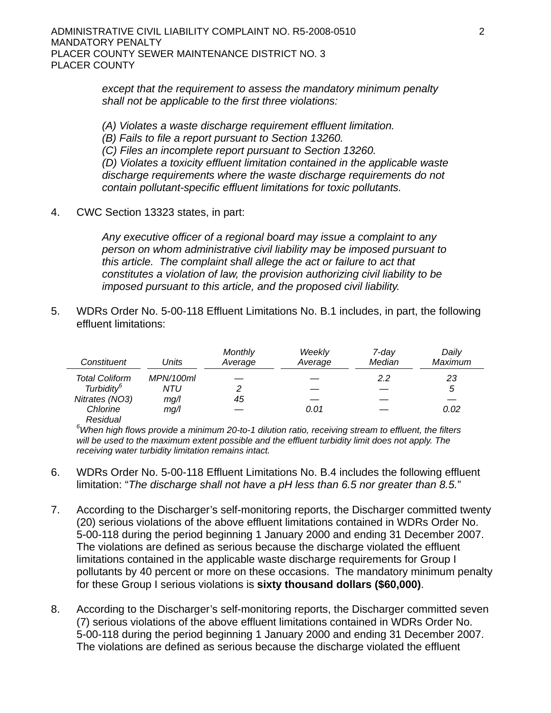*except that the requirement to assess the mandatory minimum penalty shall not be applicable to the first three violations:*

*(A) Violates a waste discharge requirement effluent limitation. (B) Fails to file a report pursuant to Section 13260. (C) Files an incomplete report pursuant to Section 13260. (D) Violates a toxicity effluent limitation contained in the applicable waste discharge requirements where the waste discharge requirements do not contain pollutant-specific effluent limitations for toxic pollutants.* 

4. CWC Section 13323 states, in part:

*Any executive officer of a regional board may issue a complaint to any person on whom administrative civil liability may be imposed pursuant to this article. The complaint shall allege the act or failure to act that constitutes a violation of law, the provision authorizing civil liability to be imposed pursuant to this article, and the proposed civil liability.* 

5. WDRs Order No. [5-00-118](#page-0-2) Effluent Limitations No. B.1 includes, in part, the following effluent limitations:

| Constituent            | Units     | <b>Monthly</b><br>Average | Weekly<br>Average | 7-dav<br>Median | Daily<br>Maximum |
|------------------------|-----------|---------------------------|-------------------|-----------------|------------------|
| <b>Total Coliform</b>  | MPN/100ml |                           |                   | 2.2             | 23               |
| Turbidity <sup>6</sup> | NTU       | 2                         |                   |                 | 5                |
| Nitrates (NO3)         | mg/l      | 45                        |                   |                 |                  |
| Chlorine               | mg/l      |                           | 0.01              |                 | 0.02             |
| Residual               |           |                           |                   |                 |                  |

*6 When high flows provide a minimum 20-to-1 dilution ratio, receiving stream to effluent, the filters*  will be used to the maximum extent possible and the effluent turbidity limit does not apply. The *receiving water turbidity limitation remains intact.* 

- 6. WDRs Order No. [5-00-118](#page-0-2) Effluent Limitations No. B.4 includes the following effluent limitation: "*The discharge shall not have a pH less than 6.5 nor greater than 8.5.*"
- <span id="page-1-0"></span>7. According to the Discharger's self-monitoring reports, the Discharger committed twenty [\(20](#page-6-0)) serious violations of the above effluent limitations contained in WDRs Order No. [5-00-118](#page-0-2) during the period beginning 1 January 2000 and ending 31 December 2007. The violations are defined as serious because the discharge violated the effluent limitations contained in the applicable waste discharge requirements for Group I pollutants by 40 percent or more on these occasions. The mandatory minimum penalty for these Group I serious violations is **sixty thousand dollars (\$60,000)**.
- 8. According to the Discharger's self-monitoring reports, the Discharger committed seven [\(7\)](#page-6-1) serious violations of the above effluent limitations contained in WDRs Order No. [5-00-118](#page-0-2) during the period beginning [1 January 2000](#page-1-0) and ending [31 December 2007.](#page-1-0) The violations are defined as serious because the discharge violated the effluent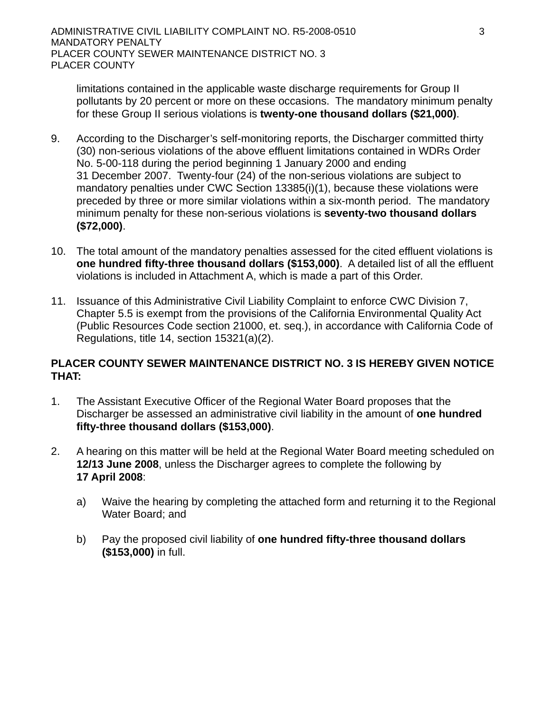limitations contained in the applicable waste discharge requirements for Group II pollutants by 20 percent or more on these occasions. The mandatory minimum penalty for these Group II serious violations is **twenty-one thousand dollars (\$21,000)**.

- 9. According to the Discharger's self-monitoring reports, the Discharger committed thirty (30) non-serious violations of the above effluent limitations contained in WDRs Order No. [5-00-118](#page-0-2) during the period beginning [1 January 2000](#page-1-0) and ending [31 December 2007](#page-1-0). Twenty-four [\(24](#page-6-2)) of the non-serious violations are subject to mandatory penalties under CWC Section 13385(i)(1), because these violations were preceded by three or more similar violations within a six-month period. The mandatory minimum penalty for these non-serious violations is **seventy-two thousand dollars (\$72,000)**.
- <span id="page-2-0"></span>10. The total amount of the mandatory penalties assessed for the cited effluent violations is **one hundred fifty-three thousand dollars (\$153,000)**. A detailed list of all the effluent violations is included in Attachment A, which is made a part of this Order.
- 11. Issuance of this Administrative Civil Liability Complaint to enforce CWC Division 7, Chapter 5.5 is exempt from the provisions of the California Environmental Quality Act (Public Resources Code section 21000, et. seq.), in accordance with California Code of Regulations, title 14, section 15321(a)(2).

# **[PLACER COUNTY SEWER MAINTENANCE DISTRICT NO. 3](#page-0-0) IS HEREBY GIVEN NOTICE THAT:**

- 1. The Assistant Executive Officer of the Regional Water Board proposes that the Discharger be assessed an administrative civil liability in the amount of **[one hundred](#page-2-0)  [fifty-three thousand dollars \(\\$153,000\)](#page-2-0)**.
- 2. A hearing on this matter will be held at the Regional Water Board meeting scheduled on **12/13 June 2008**, unless the Discharger agrees to complete the following by **17 April 2008**:
	- a) Waive the hearing by completing the attached form and returning it to the Regional Water Board; and
	- b) Pay the proposed civil liability of **[one hundred fifty-three thousand dollars](#page-2-0)  [\(\\$153,000\)](#page-2-0)** in full.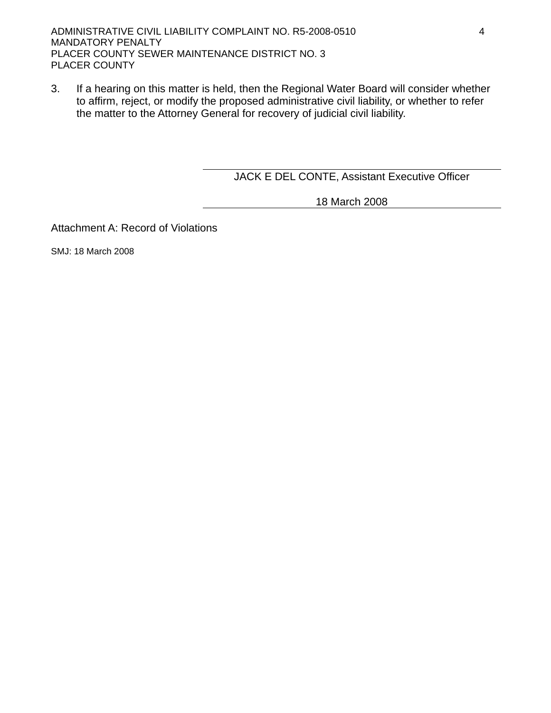3. If a hearing on this matter is held, then the Regional Water Board will consider whether to affirm, reject, or modify the proposed administrative civil liability, or whether to refer the matter to the Attorney General for recovery of judicial civil liability.

JACK E DEL CONTE, Assistant Executive Officer

18 March 2008

Attachment A: Record of Violations

SMJ: 18 March 2008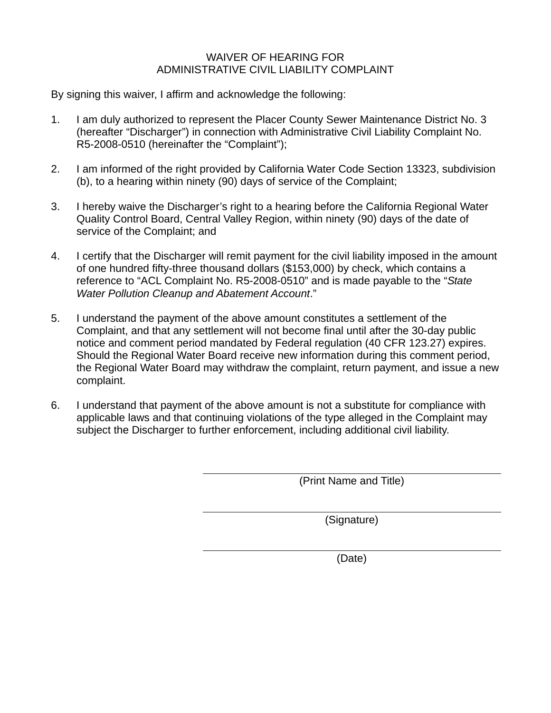# WAIVER OF HEARING FOR ADMINISTRATIVE CIVIL LIABILITY COMPLAINT

By signing this waiver, I affirm and acknowledge the following:

- 1. I am duly authorized to represent the [Placer County Sewer Maintenance District No. 3](#page-0-0) (hereafter "Discharger") in connection with Administrative Civil Liability Complaint No. [R5-2008-0510](#page-0-3) (hereinafter the "Complaint");
- 2. I am informed of the right provided by California Water Code Section 13323, subdivision (b), to a hearing within ninety (90) days of service of the Complaint;
- 3. I hereby waive the Discharger's right to a hearing before the California Regional Water Quality Control Board, Central Valley Region, within ninety (90) days of the date of service of the Complaint; and
- 4. I certify that the Discharger will remit payment for the civil liability imposed in the amount of [one hundred fifty-three thousand dollars \(\\$153,000\)](#page-2-0) by check, which contains a reference to "ACL Complaint No. [R5-2008-0510"](#page-0-3) and is made payable to the "*State Water Pollution Cleanup and Abatement Account*."
- 5. I understand the payment of the above amount constitutes a settlement of the Complaint, and that any settlement will not become final until after the 30-day public notice and comment period mandated by Federal regulation (40 CFR 123.27) expires. Should the Regional Water Board receive new information during this comment period, the Regional Water Board may withdraw the complaint, return payment, and issue a new complaint.
- 6. I understand that payment of the above amount is not a substitute for compliance with applicable laws and that continuing violations of the type alleged in the Complaint may subject the Discharger to further enforcement, including additional civil liability.

(Print Name and Title)

(Signature)

(Date)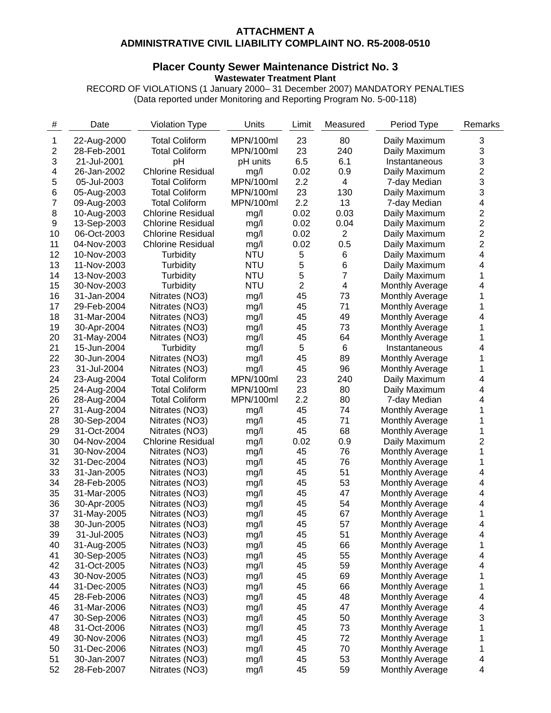### **ATTACHMENT A ADMINISTRATIVE CIVIL LIABILITY COMPLAINT NO. R5-2008-0510**

### **[Placer County Sewer Maintenance District No. 3](#page-0-0) [Wastewater Treatment Plant](#page-0-1)**

RECORD OF VIOLATIONS [\(1 January 2000](#page-1-0)– [31 December 2007](#page-1-0)) MANDATORY PENALTIES (Data reported under Monitoring and Reporting Program No. [5-00-118\)](#page-0-2)

| $\#$ | Date        | <b>Violation Type</b>    | Units      | Limit          | Measured       | Period Type            | Remarks                 |
|------|-------------|--------------------------|------------|----------------|----------------|------------------------|-------------------------|
| 1    | 22-Aug-2000 | <b>Total Coliform</b>    | MPN/100ml  | 23             | 80             | Daily Maximum          | 3                       |
| 2    | 28-Feb-2001 | <b>Total Coliform</b>    | MPN/100ml  | 23             | 240            | Daily Maximum          | 3                       |
| 3    | 21-Jul-2001 | pH                       | pH units   | 6.5            | 6.1            | Instantaneous          | 3                       |
| 4    | 26-Jan-2002 | <b>Chlorine Residual</b> | mg/l       | 0.02           | 0.9            | Daily Maximum          | $\overline{\mathbf{c}}$ |
| 5    | 05-Jul-2003 | <b>Total Coliform</b>    | MPN/100ml  | 2.2            | 4              | 7-day Median           | 3                       |
| 6    | 05-Aug-2003 | <b>Total Coliform</b>    | MPN/100ml  | 23             | 130            | Daily Maximum          | 3                       |
| 7    | 09-Aug-2003 | <b>Total Coliform</b>    | MPN/100ml  | 2.2            | 13             | 7-day Median           | 4                       |
| 8    | 10-Aug-2003 | <b>Chlorine Residual</b> | mg/l       | 0.02           | 0.03           | Daily Maximum          | 2                       |
| 9    | 13-Sep-2003 | <b>Chlorine Residual</b> | mg/l       | 0.02           | 0.04           | Daily Maximum          | $\overline{\mathbf{c}}$ |
| 10   | 06-Oct-2003 | <b>Chlorine Residual</b> | mg/l       | 0.02           | $\overline{2}$ | Daily Maximum          | $\overline{2}$          |
| 11   | 04-Nov-2003 | <b>Chlorine Residual</b> | mg/l       | 0.02           | 0.5            | Daily Maximum          | $\overline{2}$          |
| 12   | 10-Nov-2003 | Turbidity                | <b>NTU</b> | 5              | 6              | Daily Maximum          | 4                       |
| 13   | 11-Nov-2003 | Turbidity                | <b>NTU</b> | 5              | 6              | Daily Maximum          | 4                       |
| 14   | 13-Nov-2003 | Turbidity                | <b>NTU</b> | 5              | 7              | Daily Maximum          | 1                       |
| 15   | 30-Nov-2003 | Turbidity                | <b>NTU</b> | $\overline{2}$ | 4              | Monthly Average        | 4                       |
| 16   | 31-Jan-2004 | Nitrates (NO3)           | mg/l       | 45             | 73             | Monthly Average        | 1                       |
| 17   | 29-Feb-2004 | Nitrates (NO3)           | mg/l       | 45             | 71             | <b>Monthly Average</b> | 1                       |
| 18   | 31-Mar-2004 | Nitrates (NO3)           | mg/l       | 45             | 49             | <b>Monthly Average</b> | 4                       |
| 19   | 30-Apr-2004 | Nitrates (NO3)           | mg/l       | 45             | 73             | <b>Monthly Average</b> | 1                       |
| 20   | 31-May-2004 | Nitrates (NO3)           | mg/l       | 45             | 64             | <b>Monthly Average</b> | 1                       |
| 21   | 15-Jun-2004 | Turbidity                | mg/l       | 5              | 6              | Instantaneous          | 4                       |
| 22   | 30-Jun-2004 | Nitrates (NO3)           | mg/l       | 45             | 89             | <b>Monthly Average</b> | 1                       |
| 23   | 31-Jul-2004 | Nitrates (NO3)           | mg/l       | 45             | 96             | <b>Monthly Average</b> | 1                       |
| 24   | 23-Aug-2004 | <b>Total Coliform</b>    | MPN/100ml  | 23             | 240            | Daily Maximum          | 4                       |
| 25   | 24-Aug-2004 | <b>Total Coliform</b>    | MPN/100ml  | 23             | 80             | Daily Maximum          | 4                       |
| 26   | 28-Aug-2004 | <b>Total Coliform</b>    | MPN/100ml  | 2.2            | 80             | 7-day Median           | 4                       |
| 27   | 31-Aug-2004 | Nitrates (NO3)           | mg/l       | 45             | 74             | <b>Monthly Average</b> | 1                       |
| 28   | 30-Sep-2004 | Nitrates (NO3)           | mg/l       | 45             | 71             | <b>Monthly Average</b> | 1                       |
| 29   | 31-Oct-2004 | Nitrates (NO3)           | mg/l       | 45             | 68             | <b>Monthly Average</b> | 1                       |
| 30   | 04-Nov-2004 | <b>Chlorine Residual</b> | mg/l       | 0.02           | 0.9            | Daily Maximum          | 2                       |
| 31   | 30-Nov-2004 | Nitrates (NO3)           | mg/l       | 45             | 76             | <b>Monthly Average</b> | 1                       |
| 32   | 31-Dec-2004 | Nitrates (NO3)           | mg/l       | 45             | 76             | <b>Monthly Average</b> | 1                       |
| 33   | 31-Jan-2005 | Nitrates (NO3)           | mg/l       | 45             | 51             | <b>Monthly Average</b> | 4                       |
| 34   | 28-Feb-2005 | Nitrates (NO3)           | mg/l       | 45             | 53             | Monthly Average        | 4                       |
| 35   | 31-Mar-2005 | Nitrates (NO3)           | mg/l       | 45             | 47             | <b>Monthly Average</b> | 4                       |
| 36   | 30-Apr-2005 | Nitrates (NO3)           | mg/l       | 45             | 54             | Monthly Average        | 4                       |
| 37   | 31-May-2005 | Nitrates (NO3)           | mg/l       | 45             | 67             | Monthly Average        | 1                       |
| 38   | 30-Jun-2005 | Nitrates (NO3)           | mg/l       | 45             | 57             | Monthly Average        | 4                       |
| 39   | 31-Jul-2005 | Nitrates (NO3)           | mg/l       | 45             | 51             | Monthly Average        | 4                       |
| 40   | 31-Aug-2005 | Nitrates (NO3)           | mg/l       | 45             | 66             | Monthly Average        | 1                       |
| 41   | 30-Sep-2005 | Nitrates (NO3)           | mg/l       | 45             | 55             | Monthly Average        | 4                       |
| 42   | 31-Oct-2005 | Nitrates (NO3)           | mg/l       | 45             | 59             | Monthly Average        | 4                       |
| 43   | 30-Nov-2005 | Nitrates (NO3)           | mg/l       | 45             | 69             | Monthly Average        | 1                       |
| 44   | 31-Dec-2005 | Nitrates (NO3)           | mg/l       | 45             | 66             | Monthly Average        | 1                       |
| 45   | 28-Feb-2006 | Nitrates (NO3)           | mg/l       | 45             | 48             | <b>Monthly Average</b> | 4                       |
| 46   | 31-Mar-2006 | Nitrates (NO3)           | mg/l       | 45             | 47             | <b>Monthly Average</b> | 4                       |
| 47   | 30-Sep-2006 | Nitrates (NO3)           | mg/l       | 45             | 50             | <b>Monthly Average</b> | 3                       |
| 48   | 31-Oct-2006 | Nitrates (NO3)           | mg/l       | 45             | 73             | Monthly Average        | 1                       |
| 49   | 30-Nov-2006 | Nitrates (NO3)           | mg/l       | 45             | 72             | <b>Monthly Average</b> | 1                       |
| 50   | 31-Dec-2006 | Nitrates (NO3)           | mg/l       | 45             | 70             | <b>Monthly Average</b> | 1                       |
| 51   | 30-Jan-2007 | Nitrates (NO3)           | mg/l       | 45             | 53             | Monthly Average        | 4                       |
| 52   | 28-Feb-2007 | Nitrates (NO3)           | mg/l       | 45             | 59             | Monthly Average        | 4                       |